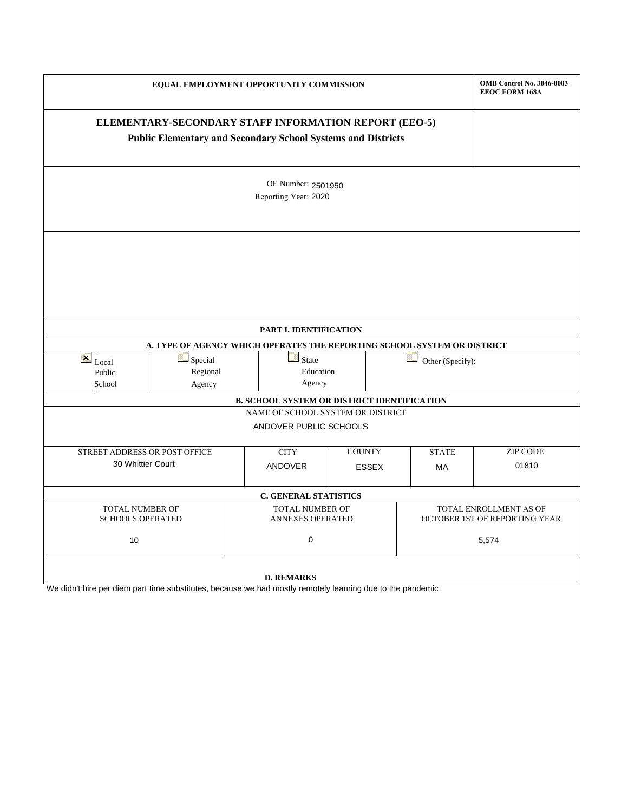|                                                   | <b>OMB Control No. 3046-0003</b><br><b>EEOC FORM 168A</b>                                                                    |                                                                       |                                            |  |              |                                                         |  |  |  |  |
|---------------------------------------------------|------------------------------------------------------------------------------------------------------------------------------|-----------------------------------------------------------------------|--------------------------------------------|--|--------------|---------------------------------------------------------|--|--|--|--|
|                                                   | ELEMENTARY-SECONDARY STAFF INFORMATION REPORT (EEO-5)<br><b>Public Elementary and Secondary School Systems and Districts</b> |                                                                       |                                            |  |              |                                                         |  |  |  |  |
|                                                   |                                                                                                                              | OE Number: 2501950<br>Reporting Year: 2020                            |                                            |  |              |                                                         |  |  |  |  |
|                                                   |                                                                                                                              |                                                                       |                                            |  |              |                                                         |  |  |  |  |
|                                                   |                                                                                                                              | PART I. IDENTIFICATION                                                |                                            |  |              |                                                         |  |  |  |  |
|                                                   | A. TYPE OF AGENCY WHICH OPERATES THE REPORTING SCHOOL SYSTEM OR DISTRICT                                                     |                                                                       |                                            |  |              |                                                         |  |  |  |  |
| $\overline{\mathbf{x}}$ Local<br>Public<br>School | Special<br>Regional<br>Agency                                                                                                | <b>State</b><br>Agency                                                | Education                                  |  |              | Other (Specify):                                        |  |  |  |  |
|                                                   |                                                                                                                              | <b>B. SCHOOL SYSTEM OR DISTRICT IDENTIFICATION</b>                    |                                            |  |              |                                                         |  |  |  |  |
|                                                   |                                                                                                                              | NAME OF SCHOOL SYSTEM OR DISTRICT                                     |                                            |  |              |                                                         |  |  |  |  |
|                                                   |                                                                                                                              | ANDOVER PUBLIC SCHOOLS                                                |                                            |  |              |                                                         |  |  |  |  |
|                                                   | STREET ADDRESS OR POST OFFICE                                                                                                |                                                                       | <b>COUNTY</b>                              |  | <b>STATE</b> | <b>ZIP CODE</b>                                         |  |  |  |  |
|                                                   | 30 Whittier Court                                                                                                            |                                                                       | <b>ESSEX</b>                               |  | MA           | 01810                                                   |  |  |  |  |
|                                                   |                                                                                                                              | C. GENERAL STATISTICS                                                 |                                            |  |              |                                                         |  |  |  |  |
|                                                   | TOTAL NUMBER OF<br><b>SCHOOLS OPERATED</b>                                                                                   |                                                                       | TOTAL NUMBER OF<br><b>ANNEXES OPERATED</b> |  |              | TOTAL ENROLLMENT AS OF<br>OCTOBER 1ST OF REPORTING YEAR |  |  |  |  |
| 10                                                |                                                                                                                              |                                                                       | 0                                          |  |              | 5,574                                                   |  |  |  |  |
| We didn't hire par diam part time oubotitutes     | $h$ <sup>2221122</sup> $h$                                                                                                   | <b>D. REMARKS</b><br>had moethy remately loopning due to the nandemia |                                            |  |              |                                                         |  |  |  |  |

We didn't hire per diem part time substitutes, because we had mostly remotely learning due to the pandemic